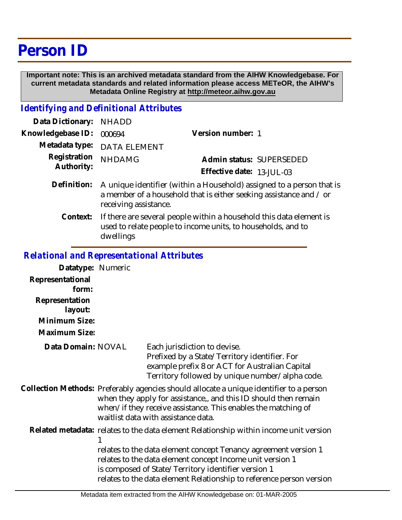## **Person ID**

 **Important note: This is an archived metadata standard from the AIHW Knowledgebase. For current metadata standards and related information please access METeOR, the AIHW's Metadata Online Registry at http://meteor.aihw.gov.au**

## *Identifying and Definitional Attributes*

| Data Dictionary: NHADD     |                                                                                                                                                                      |                                                       |
|----------------------------|----------------------------------------------------------------------------------------------------------------------------------------------------------------------|-------------------------------------------------------|
| Knowledgebase ID:          | 000694                                                                                                                                                               | Version number: 1                                     |
|                            | Metadata type: DATA ELEMENT                                                                                                                                          |                                                       |
| Registration<br>Authority: | <b>NHDAMG</b>                                                                                                                                                        | Admin status: SUPERSEDED<br>Effective date: 13-JUL-03 |
| Definition:                | A unique identifier (within a Household) assigned to a person that is<br>a member of a household that is either seeking assistance and / or<br>receiving assistance. |                                                       |

If there are several people within a household this data element is used to relate people to income units, to households, and to dwellings **Context:**

## *Relational and Representational Attributes*

| Datatype: Numeric         |                                                                                                                                                                                                                                                                    |                                                                                                                                                                                                                                                             |
|---------------------------|--------------------------------------------------------------------------------------------------------------------------------------------------------------------------------------------------------------------------------------------------------------------|-------------------------------------------------------------------------------------------------------------------------------------------------------------------------------------------------------------------------------------------------------------|
| Representational<br>form: |                                                                                                                                                                                                                                                                    |                                                                                                                                                                                                                                                             |
| Representation<br>layout: |                                                                                                                                                                                                                                                                    |                                                                                                                                                                                                                                                             |
| Minimum Size:             |                                                                                                                                                                                                                                                                    |                                                                                                                                                                                                                                                             |
| Maximum Size:             |                                                                                                                                                                                                                                                                    |                                                                                                                                                                                                                                                             |
| Data Domain: NOVAL        |                                                                                                                                                                                                                                                                    | Each jurisdiction to devise.<br>Prefixed by a State/Territory identifier. For<br>example prefix 8 or ACT for Australian Capital<br>Territory followed by unique number/alpha code.                                                                          |
|                           | Collection Methods: Preferably agencies should allocate a unique identifier to a person<br>when they apply for assistance,, and this ID should then remain<br>when/if they receive assistance. This enables the matching of<br>waitlist data with assistance data. |                                                                                                                                                                                                                                                             |
|                           |                                                                                                                                                                                                                                                                    | Related metadata: relates to the data element Relationship within income unit version                                                                                                                                                                       |
|                           |                                                                                                                                                                                                                                                                    | relates to the data element concept Tenancy agreement version 1<br>relates to the data element concept Income unit version 1<br>is composed of State/Territory identifier version 1<br>relates to the data element Relationship to reference person version |